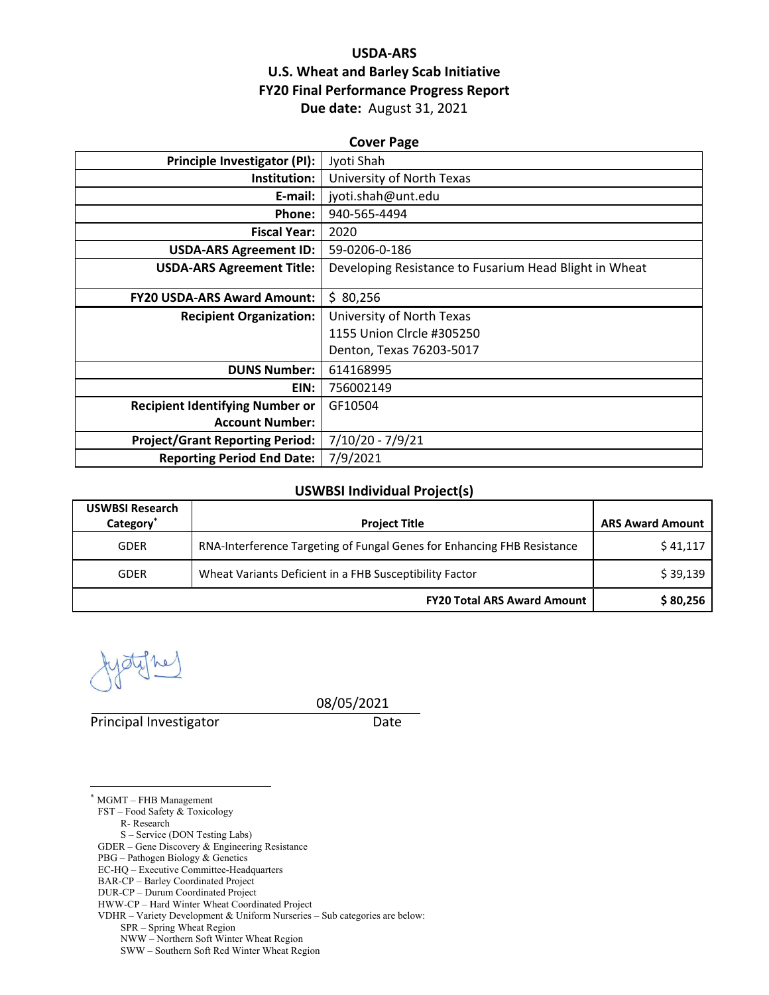## **USDA‐ARS U.S. Wheat and Barley Scab Initiative FY20 Final Performance Progress Report Due date:** August 31, 2021

| <b>Cover Page</b>                      |                                                        |  |  |  |
|----------------------------------------|--------------------------------------------------------|--|--|--|
| Principle Investigator (PI):           | Jyoti Shah                                             |  |  |  |
| Institution:                           | University of North Texas                              |  |  |  |
| E-mail:                                | jyoti.shah@unt.edu                                     |  |  |  |
| Phone:                                 | 940-565-4494                                           |  |  |  |
| <b>Fiscal Year:</b>                    | 2020                                                   |  |  |  |
| <b>USDA-ARS Agreement ID:</b>          | 59-0206-0-186                                          |  |  |  |
| <b>USDA-ARS Agreement Title:</b>       | Developing Resistance to Fusarium Head Blight in Wheat |  |  |  |
| <b>FY20 USDA-ARS Award Amount:</b>     | \$80,256                                               |  |  |  |
| <b>Recipient Organization:</b>         | University of North Texas                              |  |  |  |
|                                        | 1155 Union Clrcle #305250                              |  |  |  |
|                                        | Denton, Texas 76203-5017                               |  |  |  |
| <b>DUNS Number:</b>                    | 614168995                                              |  |  |  |
| EIN:                                   | 756002149                                              |  |  |  |
| <b>Recipient Identifying Number or</b> | GF10504                                                |  |  |  |
| <b>Account Number:</b>                 |                                                        |  |  |  |
| <b>Project/Grant Reporting Period:</b> | 7/10/20 - 7/9/21                                       |  |  |  |
| <b>Reporting Period End Date:</b>      | 7/9/2021                                               |  |  |  |

#### **USWBSI Individual Project(s)**

| <b>USWBSI Research</b><br>Category <sup>®</sup> | <b>Project Title</b>                                                    | <b>ARS Award Amount</b> |
|-------------------------------------------------|-------------------------------------------------------------------------|-------------------------|
| <b>GDER</b>                                     | RNA-Interference Targeting of Fungal Genes for Enhancing FHB Resistance | \$41,117                |
| <b>GDER</b>                                     | Wheat Variants Deficient in a FHB Susceptibility Factor                 | \$39,139                |
|                                                 | <b>FY20 Total ARS Award Amount</b>                                      | \$80,256                |

**Principal Investigator** Date

08/05/2021

\* MGMT – FHB Management

FST – Food Safety & Toxicology

R- Research

S – Service (DON Testing Labs)

GDER – Gene Discovery & Engineering Resistance

PBG – Pathogen Biology & Genetics

EC-HQ – Executive Committee-Headquarters

BAR-CP – Barley Coordinated Project DUR-CP – Durum Coordinated Project

HWW-CP – Hard Winter Wheat Coordinated Project

VDHR – Variety Development & Uniform Nurseries – Sub categories are below:

SPR – Spring Wheat Region

NWW – Northern Soft Winter Wheat Region

SWW – Southern Soft Red Winter Wheat Region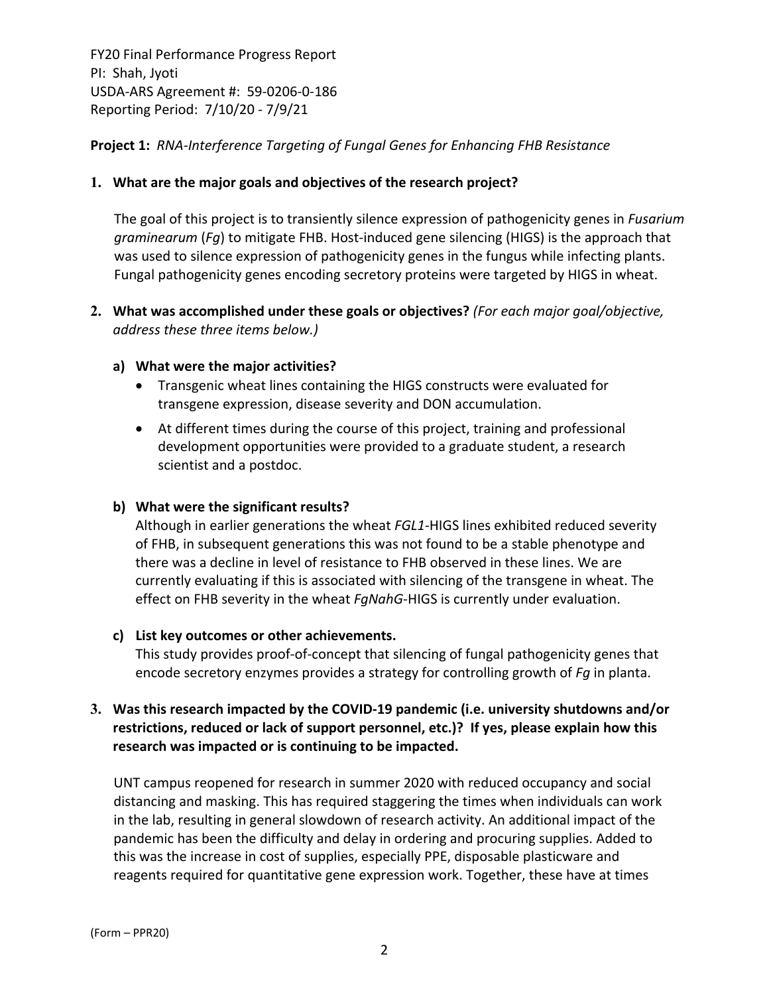## **Project 1:** *RNA‐Interference Targeting of Fungal Genes for Enhancing FHB Resistance*

#### **1. What are the major goals and objectives of the research project?**

The goal of this project is to transiently silence expression of pathogenicity genes in *Fusarium graminearum* (*Fq*) to mitigate FHB. Host-induced gene silencing (HIGS) is the approach that was used to silence expression of pathogenicity genes in the fungus while infecting plants. Fungal pathogenicity genes encoding secretory proteins were targeted by HIGS in wheat.

**2. What was accomplished under these goals or objectives?** *(For each major goal/objective, address these three items below.)*

#### **a) What were the major activities?**

- Transgenic wheat lines containing the HIGS constructs were evaluated for transgene expression, disease severity and DON accumulation.
- At different times during the course of this project, training and professional development opportunities were provided to a graduate student, a research scientist and a postdoc.

#### **b) What were the significant results?**

Although in earlier generations the wheat *FGL1‐*HIGS lines exhibited reduced severity of FHB, in subsequent generations this was not found to be a stable phenotype and there was a decline in level of resistance to FHB observed in these lines. We are currently evaluating if this is associated with silencing of the transgene in wheat. The effect on FHB severity in the wheat *FgNahG*-HIGS is currently under evaluation.

#### **c) List key outcomes or other achievements.**

This study provides proof‐of‐concept that silencing of fungal pathogenicity genes that encode secretory enzymes provides a strategy for controlling growth of *Fg* in planta.

## **3. Was this research impacted by the COVID‐19 pandemic (i.e. university shutdowns and/or restrictions, reduced or lack of support personnel, etc.)? If yes, please explain how this research was impacted or is continuing to be impacted.**

UNT campus reopened for research in summer 2020 with reduced occupancy and social distancing and masking. This has required staggering the times when individuals can work in the lab, resulting in general slowdown of research activity. An additional impact of the pandemic has been the difficulty and delay in ordering and procuring supplies. Added to this was the increase in cost of supplies, especially PPE, disposable plasticware and reagents required for quantitative gene expression work. Together, these have at times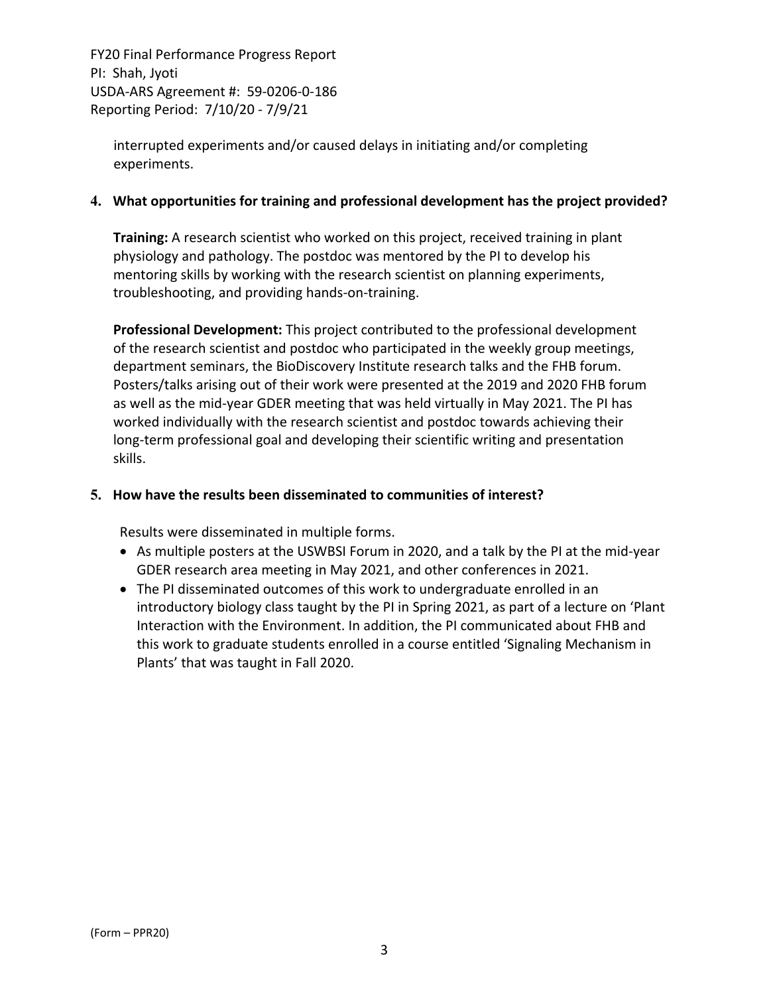interrupted experiments and/or caused delays in initiating and/or completing experiments.

#### **4. What opportunities for training and professional development has the project provided?**

**Training:** A research scientist who worked on this project, received training in plant physiology and pathology. The postdoc was mentored by the PI to develop his mentoring skills by working with the research scientist on planning experiments, troubleshooting, and providing hands‐on‐training.

**Professional Development:** This project contributed to the professional development of the research scientist and postdoc who participated in the weekly group meetings, department seminars, the BioDiscovery Institute research talks and the FHB forum. Posters/talks arising out of their work were presented at the 2019 and 2020 FHB forum as well as the mid‐year GDER meeting that was held virtually in May 2021. The PI has worked individually with the research scientist and postdoc towards achieving their long-term professional goal and developing their scientific writing and presentation skills.

#### **5. How have the results been disseminated to communities of interest?**

Results were disseminated in multiple forms.

- As multiple posters at the USWBSI Forum in 2020, and a talk by the PI at the mid-year GDER research area meeting in May 2021, and other conferences in 2021.
- The PI disseminated outcomes of this work to undergraduate enrolled in an introductory biology class taught by the PI in Spring 2021, as part of a lecture on 'Plant Interaction with the Environment. In addition, the PI communicated about FHB and this work to graduate students enrolled in a course entitled 'Signaling Mechanism in Plants' that was taught in Fall 2020.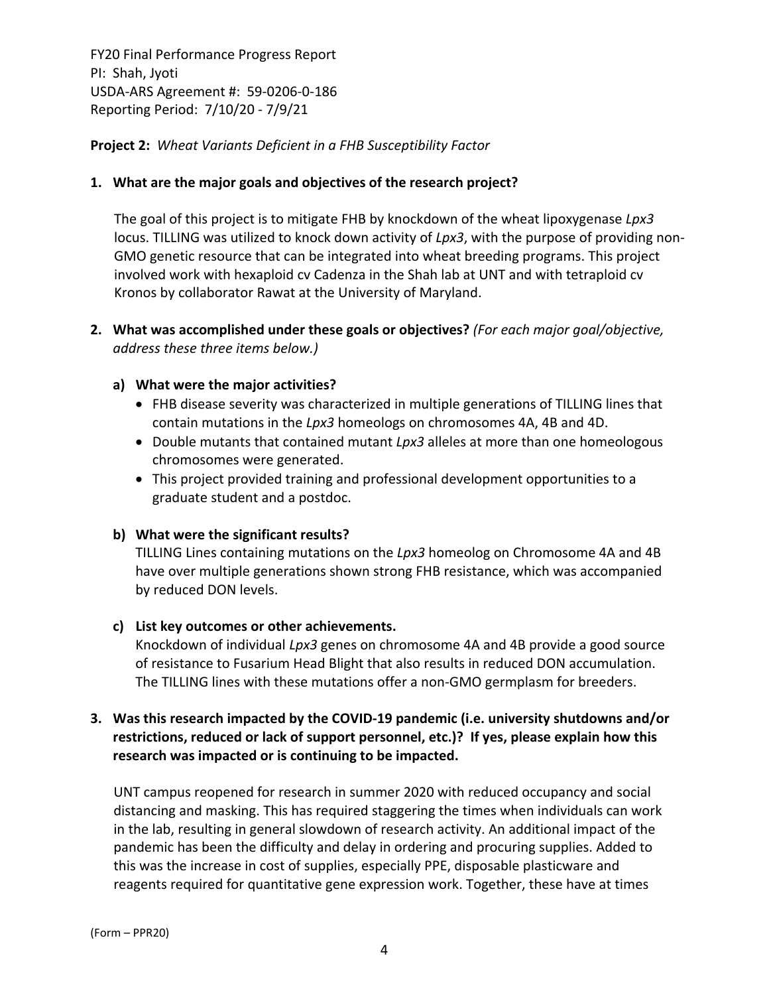**Project 2:** *Wheat Variants Deficient in a FHB Susceptibility Factor*

## **1. What are the major goals and objectives of the research project?**

The goal of this project is to mitigate FHB by knockdown of the wheat lipoxygenase *Lpx3* locus. TILLING was utilized to knock down activity of *Lpx3*, with the purpose of providing non-GMO genetic resource that can be integrated into wheat breeding programs. This project involved work with hexaploid cv Cadenza in the Shah lab at UNT and with tetraploid cv Kronos by collaborator Rawat at the University of Maryland.

**2. What was accomplished under these goals or objectives?** *(For each major goal/objective, address these three items below.)*

## **a) What were the major activities?**

- FHB disease severity was characterized in multiple generations of TILLING lines that contain mutations in the *Lpx3* homeologs on chromosomes 4A, 4B and 4D.
- Double mutants that contained mutant *Lpx3* alleles at more than one homeologous chromosomes were generated.
- This project provided training and professional development opportunities to a graduate student and a postdoc.

## **b) What were the significant results?**

TILLING Lines containing mutations on the *Lpx3* homeolog on Chromosome 4A and 4B have over multiple generations shown strong FHB resistance, which was accompanied by reduced DON levels.

## **c) List key outcomes or other achievements.**

Knockdown of individual *Lpx3* genes on chromosome 4A and 4B provide a good source of resistance to Fusarium Head Blight that also results in reduced DON accumulation. The TILLING lines with these mutations offer a non‐GMO germplasm for breeders.

## **3. Was this research impacted by the COVID‐19 pandemic (i.e. university shutdowns and/or restrictions, reduced or lack of support personnel, etc.)? If yes, please explain how this research was impacted or is continuing to be impacted.**

UNT campus reopened for research in summer 2020 with reduced occupancy and social distancing and masking. This has required staggering the times when individuals can work in the lab, resulting in general slowdown of research activity. An additional impact of the pandemic has been the difficulty and delay in ordering and procuring supplies. Added to this was the increase in cost of supplies, especially PPE, disposable plasticware and reagents required for quantitative gene expression work. Together, these have at times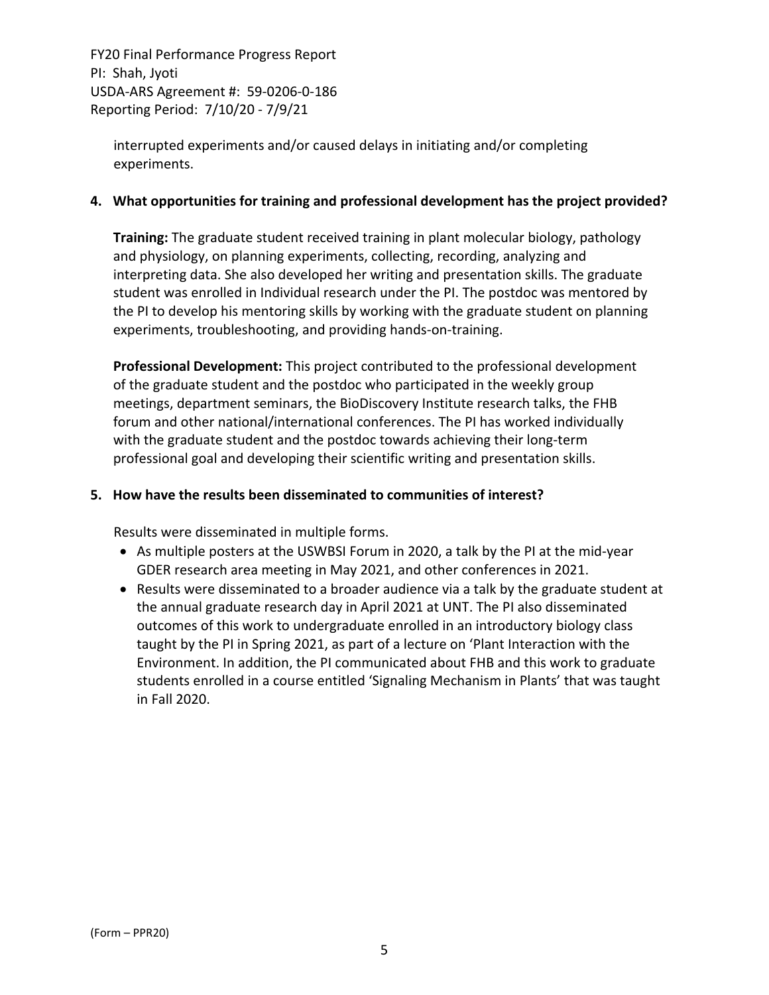interrupted experiments and/or caused delays in initiating and/or completing experiments.

#### **4. What opportunities for training and professional development has the project provided?**

**Training:** The graduate student received training in plant molecular biology, pathology and physiology, on planning experiments, collecting, recording, analyzing and interpreting data. She also developed her writing and presentation skills. The graduate student was enrolled in Individual research under the PI. The postdoc was mentored by the PI to develop his mentoring skills by working with the graduate student on planning experiments, troubleshooting, and providing hands‐on‐training.

**Professional Development:** This project contributed to the professional development of the graduate student and the postdoc who participated in the weekly group meetings, department seminars, the BioDiscovery Institute research talks, the FHB forum and other national/international conferences. The PI has worked individually with the graduate student and the postdoc towards achieving their long-term professional goal and developing their scientific writing and presentation skills.

#### **5. How have the results been disseminated to communities of interest?**

Results were disseminated in multiple forms.

- As multiple posters at the USWBSI Forum in 2020, a talk by the PI at the mid-year GDER research area meeting in May 2021, and other conferences in 2021.
- Results were disseminated to a broader audience via a talk by the graduate student at the annual graduate research day in April 2021 at UNT. The PI also disseminated outcomes of this work to undergraduate enrolled in an introductory biology class taught by the PI in Spring 2021, as part of a lecture on 'Plant Interaction with the Environment. In addition, the PI communicated about FHB and this work to graduate students enrolled in a course entitled 'Signaling Mechanism in Plants' that was taught in Fall 2020.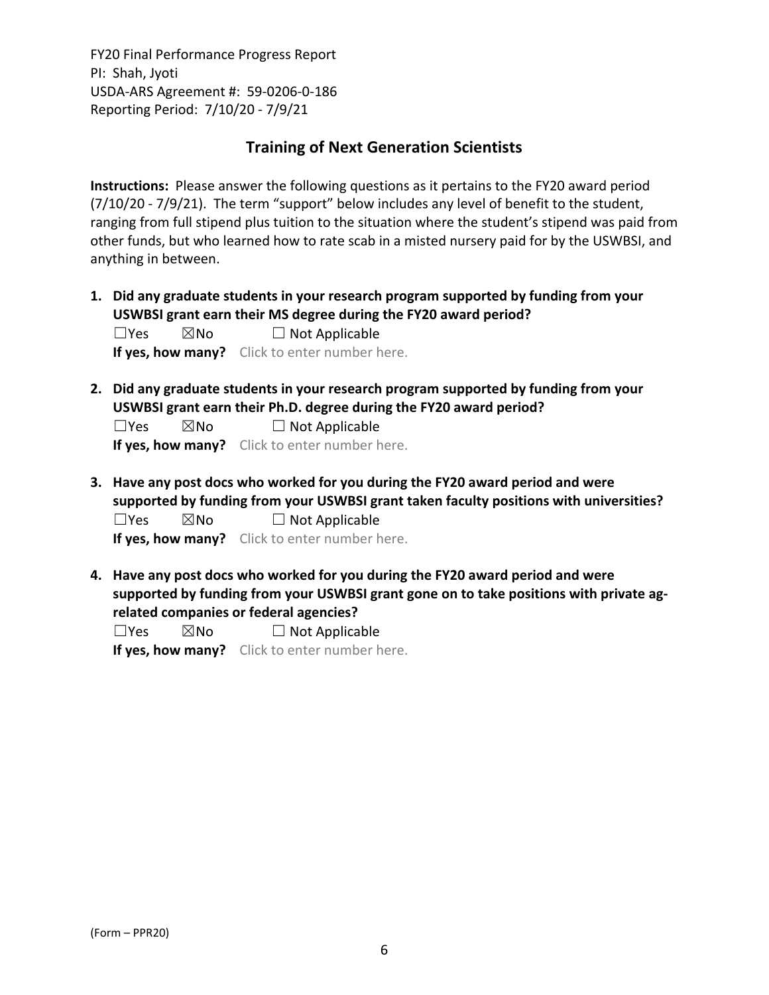## **Training of Next Generation Scientists**

**Instructions:** Please answer the following questions as it pertains to the FY20 award period (7/10/20 ‐ 7/9/21). The term "support" below includes any level of benefit to the student, ranging from full stipend plus tuition to the situation where the student's stipend was paid from other funds, but who learned how to rate scab in a misted nursery paid for by the USWBSI, and anything in between.

**1. Did any graduate students in your research program supported by funding from your USWBSI grant earn their MS degree during the FY20 award period?**  $\square$ Yes  $\square$ No  $\square$  Not Applicable

**If yes, how many?** Click to enter number here.

**2. Did any graduate students in your research program supported by funding from your USWBSI grant earn their Ph.D. degree during the FY20 award period?**

 $\square$ Yes  $\square$ No  $\square$  Not Applicable

**If yes, how many?** Click to enter number here.

**3. Have any post docs who worked for you during the FY20 award period and were supported by funding from your USWBSI grant taken faculty positions with universities?**  $\square$ Yes  $\square$ No  $\square$  Not Applicable

**If yes, how many?** Click to enter number here.

**4. Have any post docs who worked for you during the FY20 award period and were supported by funding from your USWBSI grant gone on to take positions with private ag‐ related companies or federal agencies?**

 $\square$ Yes  $\square$ No  $\square$  Not Applicable

**If yes, how many?** Click to enter number here.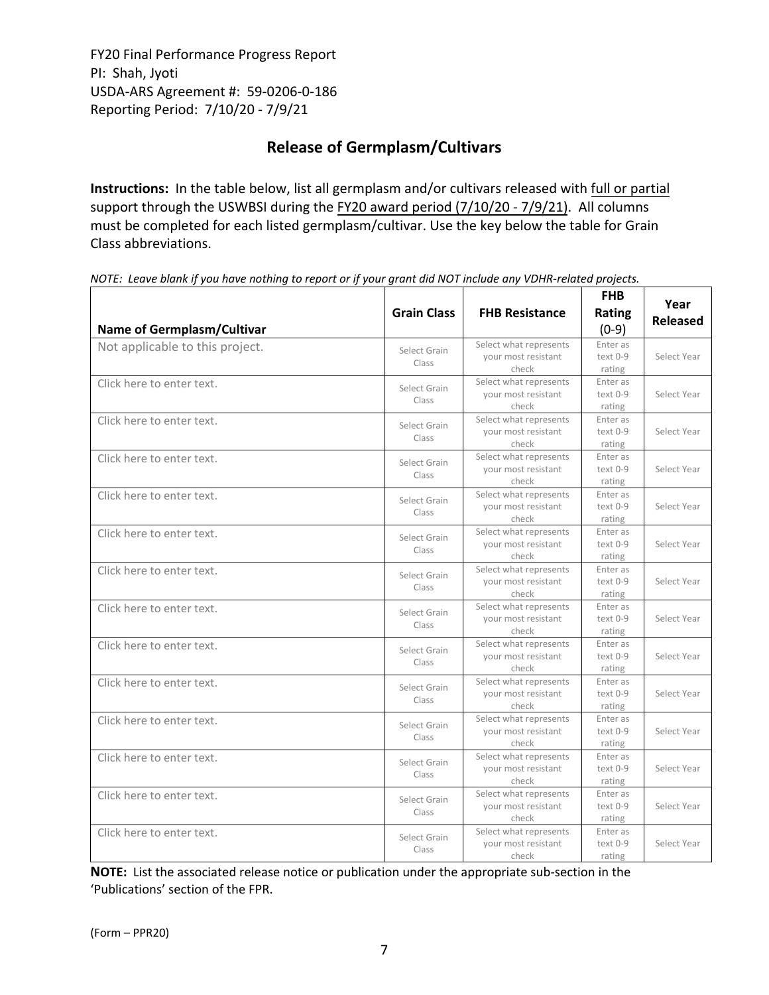# **Release of Germplasm/Cultivars**

**Instructions:** In the table below, list all germplasm and/or cultivars released with full or partial support through the USWBSI during the FY20 award period (7/10/20 - 7/9/21). All columns must be completed for each listed germplasm/cultivar. Use the key below the table for Grain Class abbreviations. 

| <b>Name of Germplasm/Cultivar</b> | <b>Grain Class</b>    | <b>FHB Resistance</b>                                  | <b>FHB</b><br>Rating<br>$(0-9)$ | Year<br><b>Released</b> |
|-----------------------------------|-----------------------|--------------------------------------------------------|---------------------------------|-------------------------|
| Not applicable to this project.   | Select Grain<br>Class | Select what represents<br>your most resistant<br>check | Enter as<br>text 0-9<br>rating  | Select Year             |
| Click here to enter text.         | Select Grain<br>Class | Select what represents<br>your most resistant<br>check | Enter as<br>text 0-9<br>rating  | Select Year             |
| Click here to enter text.         | Select Grain<br>Class | Select what represents<br>your most resistant<br>check | Enter as<br>text 0-9<br>rating  | Select Year             |
| Click here to enter text.         | Select Grain<br>Class | Select what represents<br>your most resistant<br>check | Enter as<br>text 0-9<br>rating  | Select Year             |
| Click here to enter text.         | Select Grain<br>Class | Select what represents<br>your most resistant<br>check | Enter as<br>text 0-9<br>rating  | Select Year             |
| Click here to enter text.         | Select Grain<br>Class | Select what represents<br>your most resistant<br>check | Enter as<br>text 0-9<br>rating  | Select Year             |
| Click here to enter text.         | Select Grain<br>Class | Select what represents<br>your most resistant<br>check | Enter as<br>text 0-9<br>rating  | Select Year             |
| Click here to enter text.         | Select Grain<br>Class | Select what represents<br>your most resistant<br>check | Enter as<br>text 0-9<br>rating  | Select Year             |
| Click here to enter text.         | Select Grain<br>Class | Select what represents<br>your most resistant<br>check | Enter as<br>text 0-9<br>rating  | Select Year             |
| Click here to enter text.         | Select Grain<br>Class | Select what represents<br>your most resistant<br>check | Enter as<br>text 0-9<br>rating  | Select Year             |
| Click here to enter text.         | Select Grain<br>Class | Select what represents<br>your most resistant<br>check | Enter as<br>text 0-9<br>rating  | Select Year             |
| Click here to enter text.         | Select Grain<br>Class | Select what represents<br>your most resistant<br>check | Enter as<br>text 0-9<br>rating  | Select Year             |
| Click here to enter text.         | Select Grain<br>Class | Select what represents<br>your most resistant<br>check | Enter as<br>text 0-9<br>rating  | Select Year             |
| Click here to enter text.         | Select Grain<br>Class | Select what represents<br>your most resistant<br>check | Enter as<br>text 0-9<br>rating  | Select Year             |

NOTE: Leave blank if you have nothing to report or if your grant did NOT include any VDHR-related projects.

**NOTE:** List the associated release notice or publication under the appropriate sub-section in the 'Publications' section of the FPR.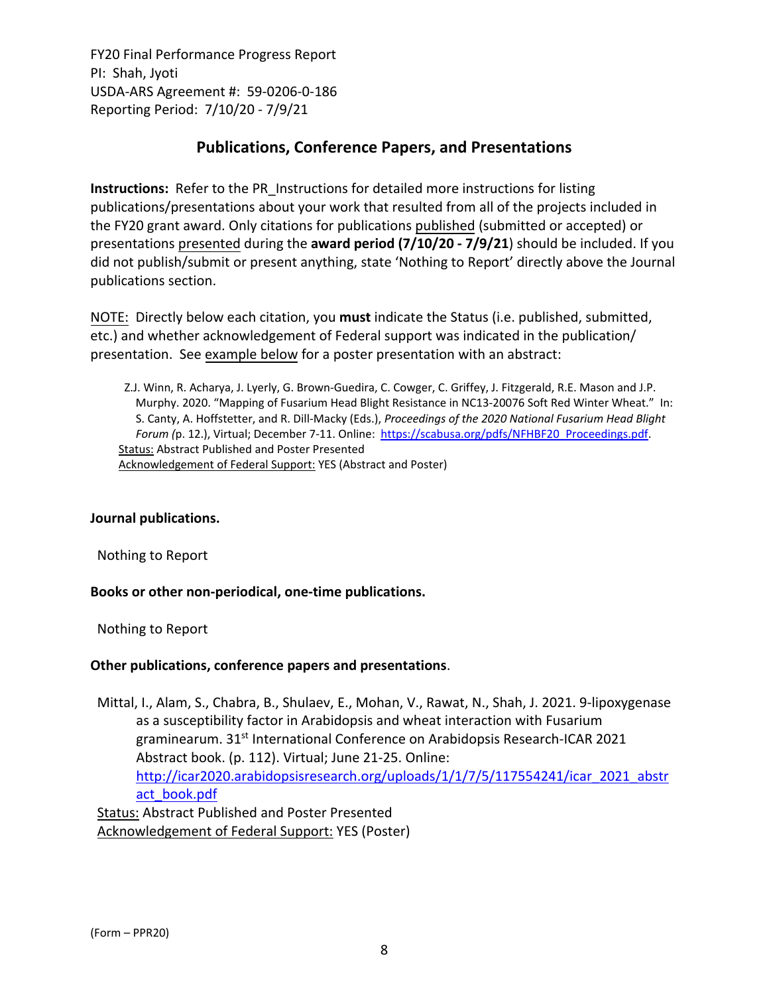## **Publications, Conference Papers, and Presentations**

**Instructions:** Refer to the PR\_Instructions for detailed more instructions for listing publications/presentations about your work that resulted from all of the projects included in the FY20 grant award. Only citations for publications published (submitted or accepted) or presentations presented during the **award period (7/10/20 ‐ 7/9/21**) should be included. If you did not publish/submit or present anything, state 'Nothing to Report' directly above the Journal publications section.

NOTE: Directly below each citation, you **must** indicate the Status (i.e. published, submitted, etc.) and whether acknowledgement of Federal support was indicated in the publication/ presentation. See example below for a poster presentation with an abstract:

Z.J. Winn, R. Acharya, J. Lyerly, G. Brown‐Guedira, C. Cowger, C. Griffey, J. Fitzgerald, R.E. Mason and J.P. Murphy. 2020. "Mapping of Fusarium Head Blight Resistance in NC13‐20076 Soft Red Winter Wheat." In: S. Canty, A. Hoffstetter, and R. Dill‐Macky (Eds.), *Proceedings of the 2020 National Fusarium Head Blight Forum (*p. 12.), Virtual; December 7‐11. Online: https://scabusa.org/pdfs/NFHBF20\_Proceedings.pdf. Status: Abstract Published and Poster Presented Acknowledgement of Federal Support: YES (Abstract and Poster)

#### **Journal publications.**

Nothing to Report

#### **Books or other non‐periodical, one‐time publications.**

Nothing to Report

#### **Other publications, conference papers and presentations**.

Mittal, I., Alam, S., Chabra, B., Shulaev, E., Mohan, V., Rawat, N., Shah, J. 2021. 9‐lipoxygenase as a susceptibility factor in Arabidopsis and wheat interaction with Fusarium graminearum. 31<sup>st</sup> International Conference on Arabidopsis Research-ICAR 2021 Abstract book. (p. 112). Virtual; June 21‐25. Online: http://icar2020.arabidopsisresearch.org/uploads/1/1/7/5/117554241/icar\_2021\_abstr act\_book.pdf Status: Abstract Published and Poster Presented

Acknowledgement of Federal Support: YES (Poster)